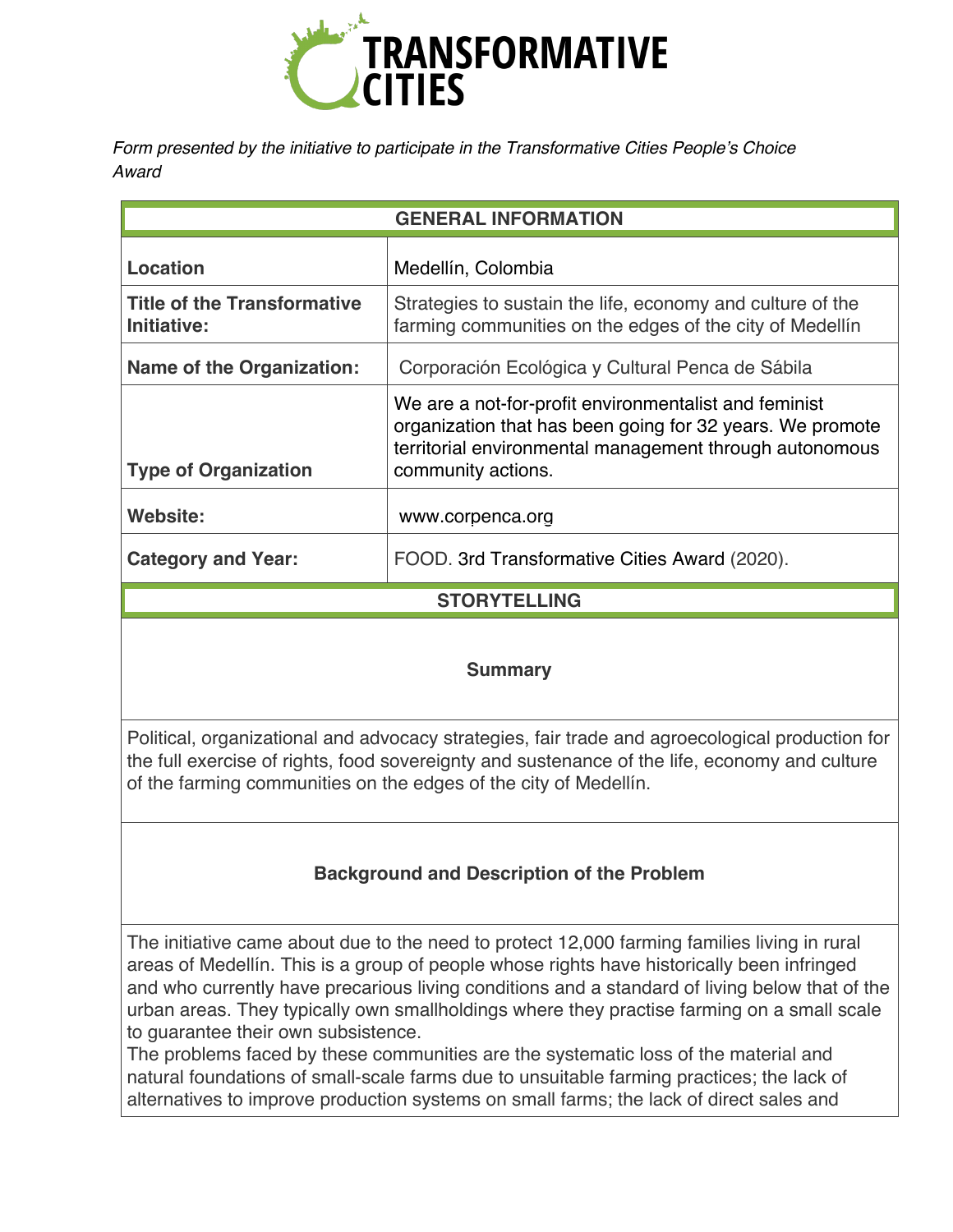

*Form presented by the initiative to participate in the Transformative Cities People's Choice Award* 

| <b>GENERAL INFORMATION</b>                        |                                                                                                                                                                                                     |
|---------------------------------------------------|-----------------------------------------------------------------------------------------------------------------------------------------------------------------------------------------------------|
| Location                                          | Medellín, Colombia                                                                                                                                                                                  |
| <b>Title of the Transformative</b><br>Initiative: | Strategies to sustain the life, economy and culture of the<br>farming communities on the edges of the city of Medellín                                                                              |
| <b>Name of the Organization:</b>                  | Corporación Ecológica y Cultural Penca de Sábila                                                                                                                                                    |
| <b>Type of Organization</b>                       | We are a not-for-profit environmentalist and feminist<br>organization that has been going for 32 years. We promote<br>territorial environmental management through autonomous<br>community actions. |
| Website:                                          | www.corpenca.org                                                                                                                                                                                    |
| <b>Category and Year:</b>                         | FOOD. 3rd Transformative Cities Award (2020).                                                                                                                                                       |
| <b>STORYTELLING</b>                               |                                                                                                                                                                                                     |

#### **Summary**

Political, organizational and advocacy strategies, fair trade and agroecological production for the full exercise of rights, food sovereignty and sustenance of the life, economy and culture of the farming communities on the edges of the city of Medellín.

# **Background and Description of the Problem**

The initiative came about due to the need to protect 12,000 farming families living in rural areas of Medellín. This is a group of people whose rights have historically been infringed and who currently have precarious living conditions and a standard of living below that of the urban areas. They typically own smallholdings where they practise farming on a small scale to guarantee their own subsistence.

The problems faced by these communities are the systematic loss of the material and natural foundations of small-scale farms due to unsuitable farming practices; the lack of alternatives to improve production systems on small farms; the lack of direct sales and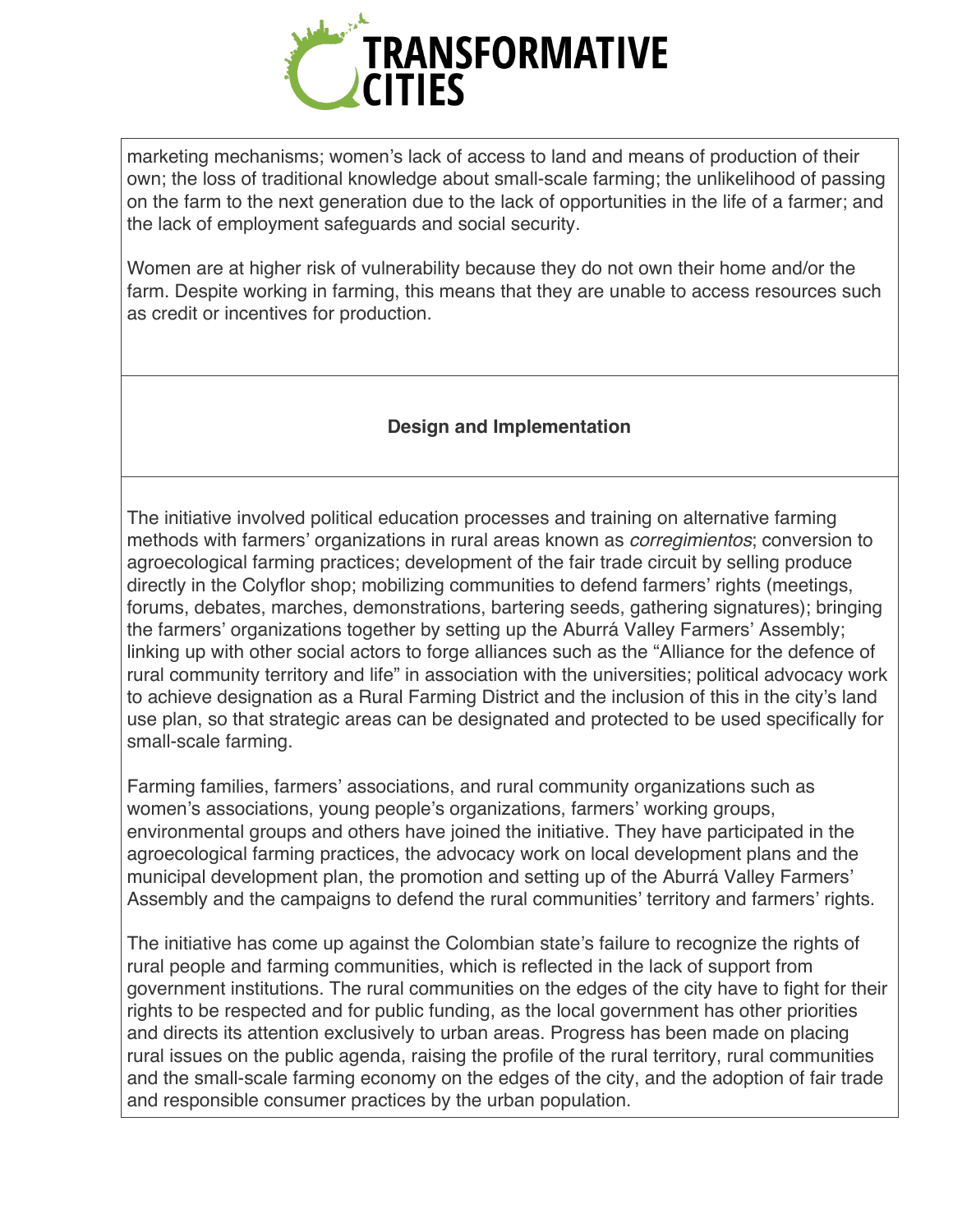

marketing mechanisms; women's lack of access to land and means of production of their own; the loss of traditional knowledge about small-scale farming; the unlikelihood of passing on the farm to the next generation due to the lack of opportunities in the life of a farmer; and the lack of employment safeguards and social security.

Women are at higher risk of vulnerability because they do not own their home and/or the farm. Despite working in farming, this means that they are unable to access resources such as credit or incentives for production.

#### **Design and Implementation**

The initiative involved political education processes and training on alternative farming methods with farmers' organizations in rural areas known as *corregimientos*; conversion to agroecological farming practices; development of the fair trade circuit by selling produce directly in the Colyflor shop; mobilizing communities to defend farmers' rights (meetings, forums, debates, marches, demonstrations, bartering seeds, gathering signatures); bringing the farmers' organizations together by setting up the Aburrá Valley Farmers' Assembly; linking up with other social actors to forge alliances such as the "Alliance for the defence of rural community territory and life" in association with the universities; political advocacy work to achieve designation as a Rural Farming District and the inclusion of this in the city's land use plan, so that strategic areas can be designated and protected to be used specifically for small-scale farming.

Farming families, farmers' associations, and rural community organizations such as women's associations, young people's organizations, farmers' working groups, environmental groups and others have joined the initiative. They have participated in the agroecological farming practices, the advocacy work on local development plans and the municipal development plan, the promotion and setting up of the Aburrá Valley Farmers' Assembly and the campaigns to defend the rural communities' territory and farmers' rights.

The initiative has come up against the Colombian state's failure to recognize the rights of rural people and farming communities, which is reflected in the lack of support from government institutions. The rural communities on the edges of the city have to fight for their rights to be respected and for public funding, as the local government has other priorities and directs its attention exclusively to urban areas. Progress has been made on placing rural issues on the public agenda, raising the profile of the rural territory, rural communities and the small-scale farming economy on the edges of the city, and the adoption of fair trade and responsible consumer practices by the urban population.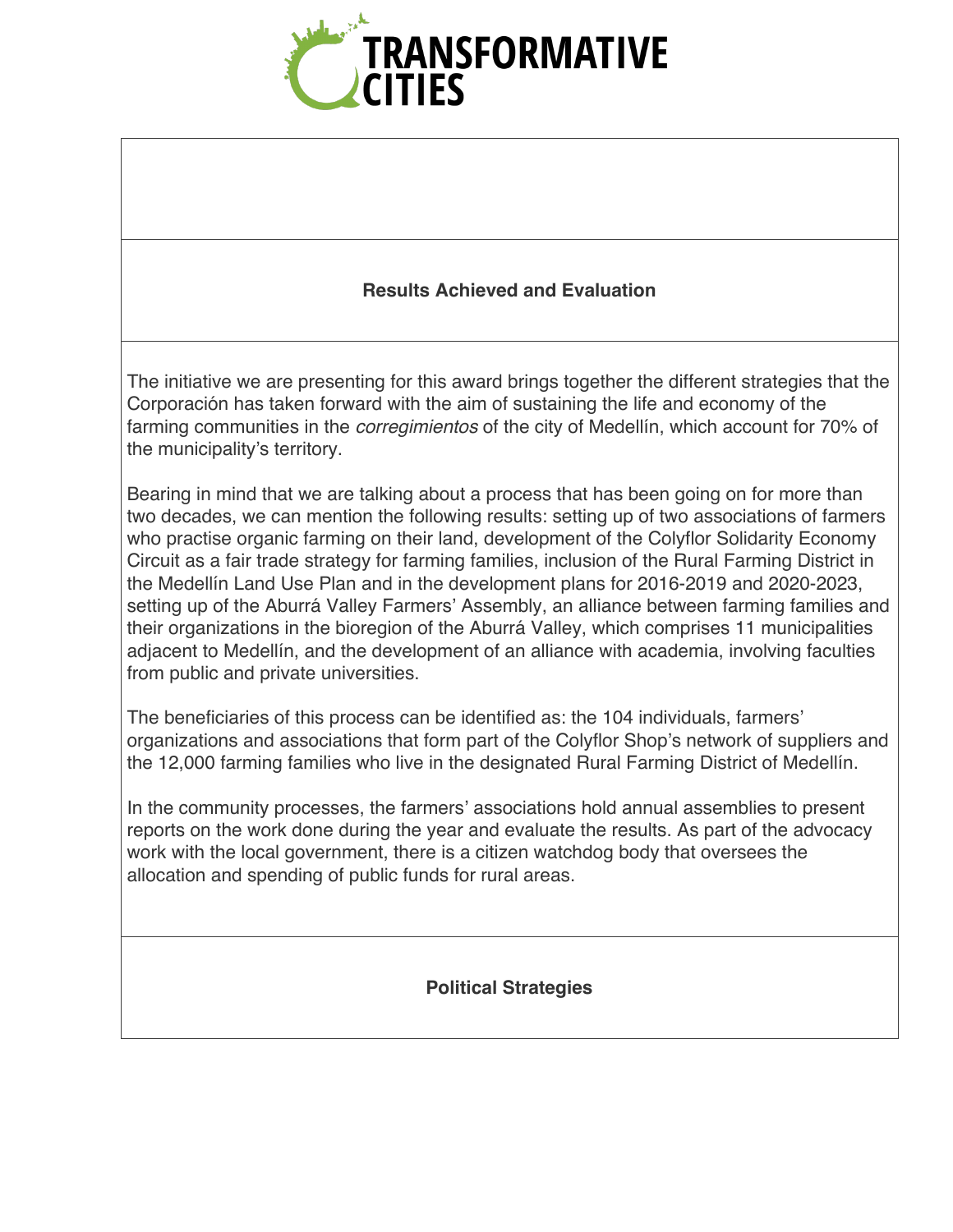

#### **Results Achieved and Evaluation**

The initiative we are presenting for this award brings together the different strategies that the Corporación has taken forward with the aim of sustaining the life and economy of the farming communities in the *corregimientos* of the city of Medellín, which account for 70% of the municipality's territory.

Bearing in mind that we are talking about a process that has been going on for more than two decades, we can mention the following results: setting up of two associations of farmers who practise organic farming on their land, development of the Colyflor Solidarity Economy Circuit as a fair trade strategy for farming families, inclusion of the Rural Farming District in the Medellín Land Use Plan and in the development plans for 2016-2019 and 2020-2023, setting up of the Aburrá Valley Farmers' Assembly, an alliance between farming families and their organizations in the bioregion of the Aburrá Valley, which comprises 11 municipalities adjacent to Medellín, and the development of an alliance with academia, involving faculties from public and private universities.

The beneficiaries of this process can be identified as: the 104 individuals, farmers' organizations and associations that form part of the Colyflor Shop's network of suppliers and the 12,000 farming families who live in the designated Rural Farming District of Medellín.

In the community processes, the farmers' associations hold annual assemblies to present reports on the work done during the year and evaluate the results. As part of the advocacy work with the local government, there is a citizen watchdog body that oversees the allocation and spending of public funds for rural areas.

**Political Strategies**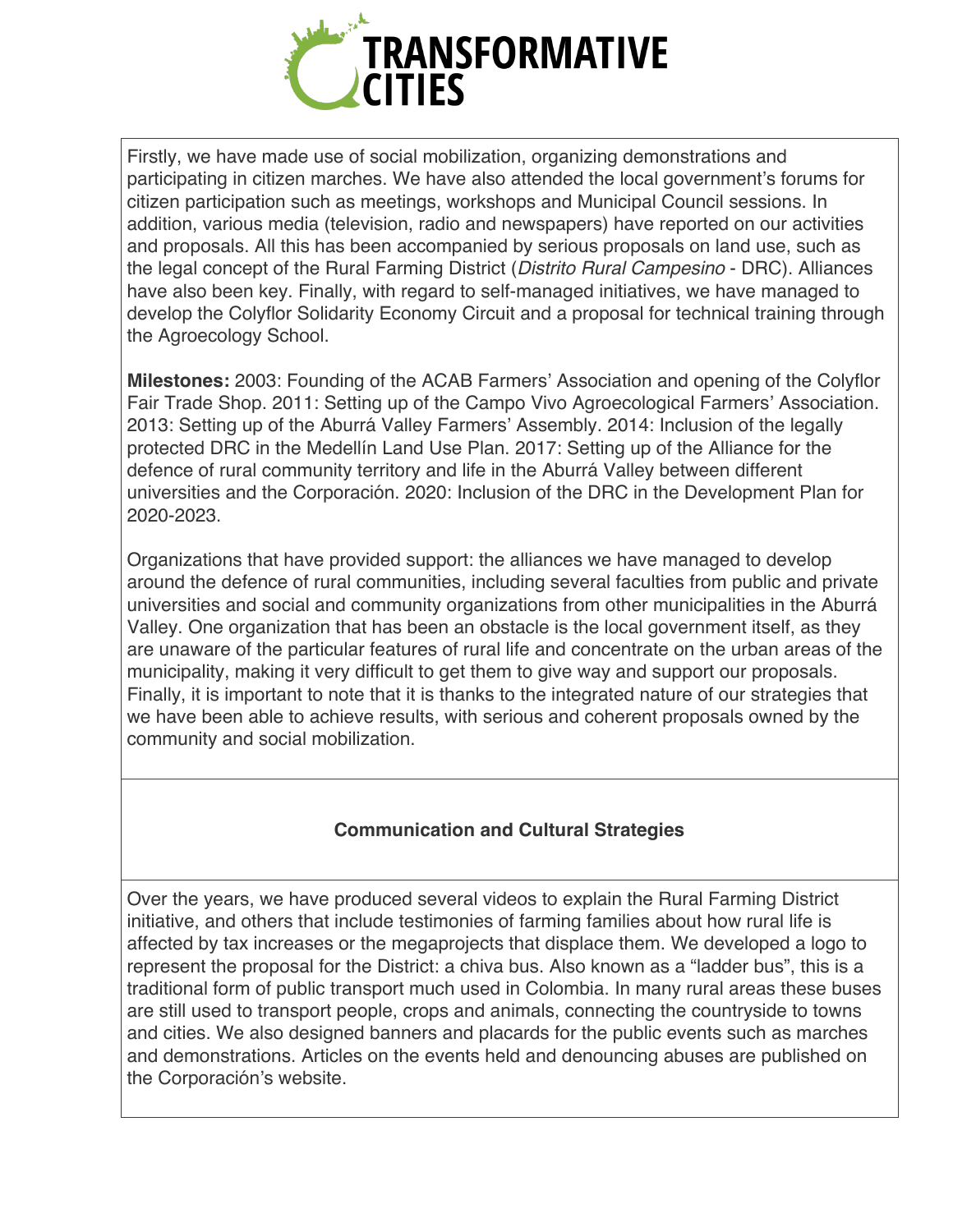

Firstly, we have made use of social mobilization, organizing demonstrations and participating in citizen marches. We have also attended the local government's forums for citizen participation such as meetings, workshops and Municipal Council sessions. In addition, various media (television, radio and newspapers) have reported on our activities and proposals. All this has been accompanied by serious proposals on land use, such as the legal concept of the Rural Farming District (*Distrito Rural Campesino* - DRC). Alliances have also been key. Finally, with regard to self-managed initiatives, we have managed to develop the Colyflor Solidarity Economy Circuit and a proposal for technical training through the Agroecology School.

**Milestones:** 2003: Founding of the ACAB Farmers' Association and opening of the Colyflor Fair Trade Shop. 2011: Setting up of the Campo Vivo Agroecological Farmers' Association. 2013: Setting up of the Aburrá Valley Farmers' Assembly. 2014: Inclusion of the legally protected DRC in the Medellín Land Use Plan. 2017: Setting up of the Alliance for the defence of rural community territory and life in the Aburrá Valley between different universities and the Corporación. 2020: Inclusion of the DRC in the Development Plan for 2020-2023.

Organizations that have provided support: the alliances we have managed to develop around the defence of rural communities, including several faculties from public and private universities and social and community organizations from other municipalities in the Aburrá Valley. One organization that has been an obstacle is the local government itself, as they are unaware of the particular features of rural life and concentrate on the urban areas of the municipality, making it very difficult to get them to give way and support our proposals. Finally, it is important to note that it is thanks to the integrated nature of our strategies that we have been able to achieve results, with serious and coherent proposals owned by the community and social mobilization.

# **Communication and Cultural Strategies**

Over the years, we have produced several videos to explain the Rural Farming District initiative, and others that include testimonies of farming families about how rural life is affected by tax increases or the megaprojects that displace them. We developed a logo to represent the proposal for the District: a chiva bus. Also known as a "ladder bus", this is a traditional form of public transport much used in Colombia. In many rural areas these buses are still used to transport people, crops and animals, connecting the countryside to towns and cities. We also designed banners and placards for the public events such as marches and demonstrations. Articles on the events held and denouncing abuses are published on the Corporación's website.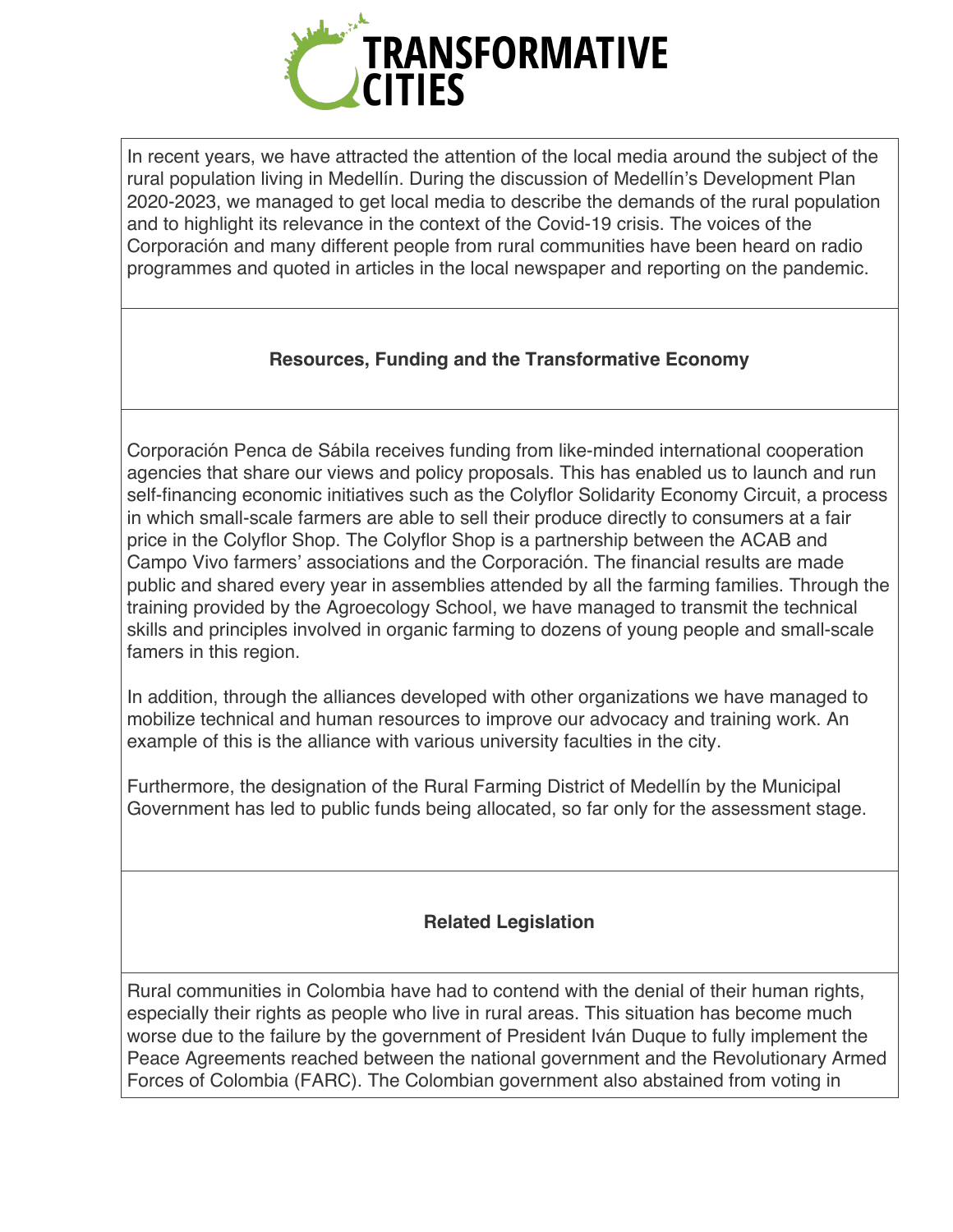

In recent years, we have attracted the attention of the local media around the subject of the rural population living in Medellín. During the discussion of Medellín's Development Plan 2020-2023, we managed to get local media to describe the demands of the rural population and to highlight its relevance in the context of the Covid-19 crisis. The voices of the Corporación and many different people from rural communities have been heard on radio programmes and quoted in articles in the local newspaper and reporting on the pandemic.

# **Resources, Funding and the Transformative Economy**

Corporación Penca de Sábila receives funding from like-minded international cooperation agencies that share our views and policy proposals. This has enabled us to launch and run self-financing economic initiatives such as the Colyflor Solidarity Economy Circuit, a process in which small-scale farmers are able to sell their produce directly to consumers at a fair price in the Colyflor Shop. The Colyflor Shop is a partnership between the ACAB and Campo Vivo farmers' associations and the Corporación. The financial results are made public and shared every year in assemblies attended by all the farming families. Through the training provided by the Agroecology School, we have managed to transmit the technical skills and principles involved in organic farming to dozens of young people and small-scale famers in this region.

In addition, through the alliances developed with other organizations we have managed to mobilize technical and human resources to improve our advocacy and training work. An example of this is the alliance with various university faculties in the city.

Furthermore, the designation of the Rural Farming District of Medellín by the Municipal Government has led to public funds being allocated, so far only for the assessment stage.

# **Related Legislation**

Rural communities in Colombia have had to contend with the denial of their human rights, especially their rights as people who live in rural areas. This situation has become much worse due to the failure by the government of President Iván Duque to fully implement the Peace Agreements reached between the national government and the Revolutionary Armed Forces of Colombia (FARC). The Colombian government also abstained from voting in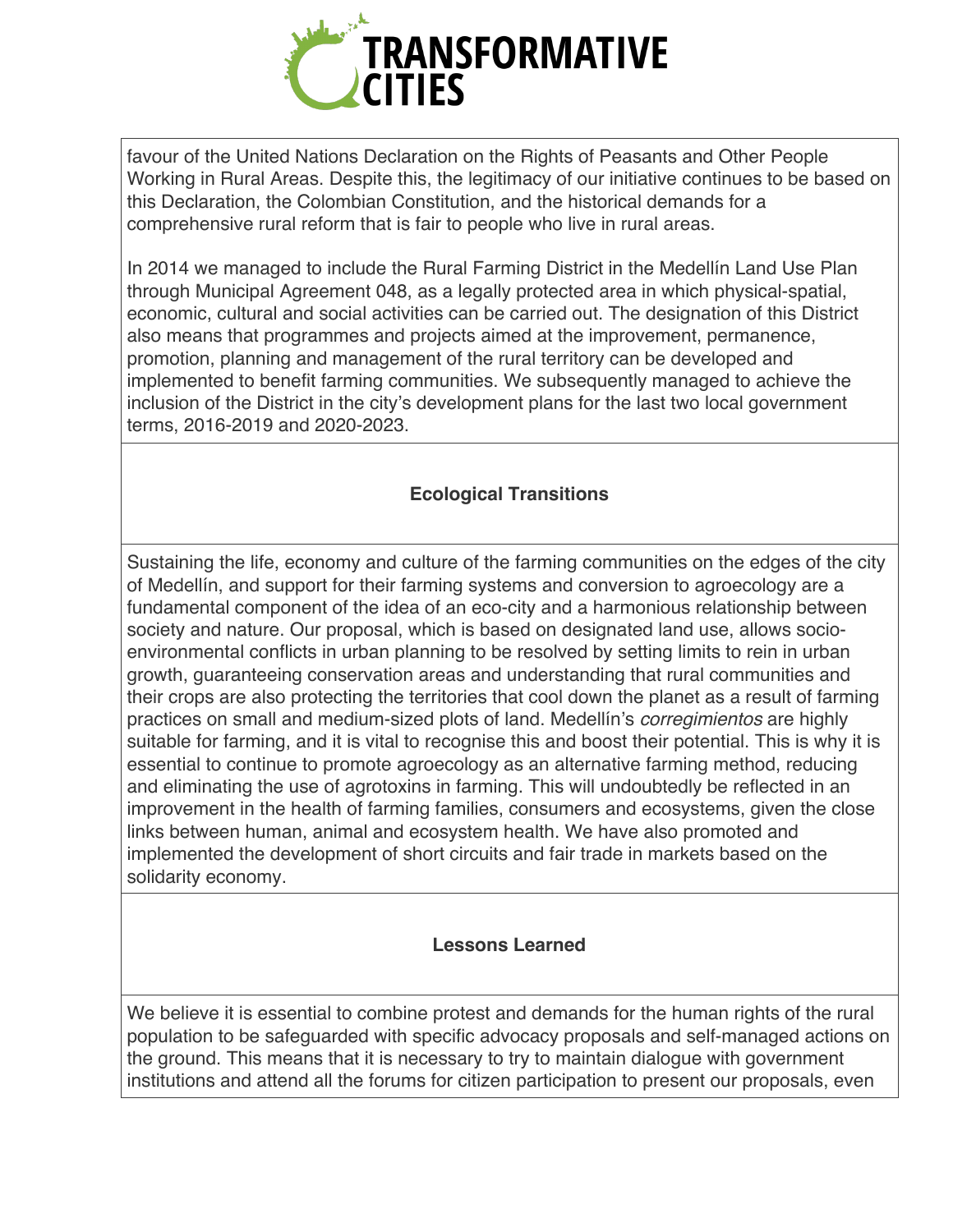

favour of the United Nations Declaration on the Rights of Peasants and Other People Working in Rural Areas. Despite this, the legitimacy of our initiative continues to be based on this Declaration, the Colombian Constitution, and the historical demands for a comprehensive rural reform that is fair to people who live in rural areas.

In 2014 we managed to include the Rural Farming District in the Medellín Land Use Plan through Municipal Agreement 048, as a legally protected area in which physical-spatial, economic, cultural and social activities can be carried out. The designation of this District also means that programmes and projects aimed at the improvement, permanence, promotion, planning and management of the rural territory can be developed and implemented to benefit farming communities. We subsequently managed to achieve the inclusion of the District in the city's development plans for the last two local government terms, 2016-2019 and 2020-2023.

# **Ecological Transitions**

Sustaining the life, economy and culture of the farming communities on the edges of the city of Medellín, and support for their farming systems and conversion to agroecology are a fundamental component of the idea of an eco-city and a harmonious relationship between society and nature. Our proposal, which is based on designated land use, allows socioenvironmental conflicts in urban planning to be resolved by setting limits to rein in urban growth, guaranteeing conservation areas and understanding that rural communities and their crops are also protecting the territories that cool down the planet as a result of farming practices on small and medium-sized plots of land. Medellín's *corregimientos* are highly suitable for farming, and it is vital to recognise this and boost their potential. This is why it is essential to continue to promote agroecology as an alternative farming method, reducing and eliminating the use of agrotoxins in farming. This will undoubtedly be reflected in an improvement in the health of farming families, consumers and ecosystems, given the close links between human, animal and ecosystem health. We have also promoted and implemented the development of short circuits and fair trade in markets based on the solidarity economy.

#### **Lessons Learned**

We believe it is essential to combine protest and demands for the human rights of the rural population to be safeguarded with specific advocacy proposals and self-managed actions on the ground. This means that it is necessary to try to maintain dialogue with government institutions and attend all the forums for citizen participation to present our proposals, even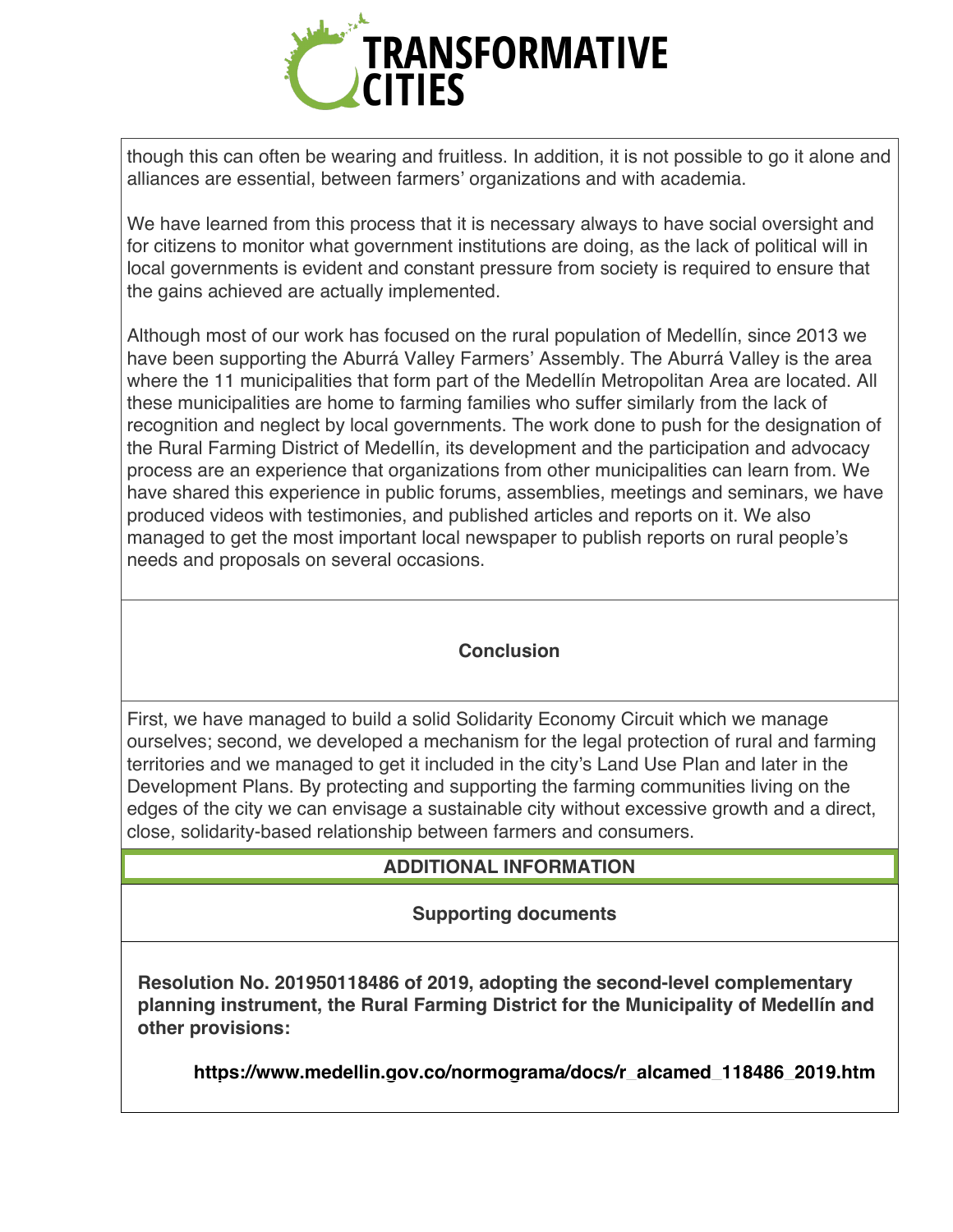

though this can often be wearing and fruitless. In addition, it is not possible to go it alone and alliances are essential, between farmers' organizations and with academia.

We have learned from this process that it is necessary always to have social oversight and for citizens to monitor what government institutions are doing, as the lack of political will in local governments is evident and constant pressure from society is required to ensure that the gains achieved are actually implemented.

Although most of our work has focused on the rural population of Medellín, since 2013 we have been supporting the Aburrá Valley Farmers' Assembly. The Aburrá Valley is the area where the 11 municipalities that form part of the Medellín Metropolitan Area are located. All these municipalities are home to farming families who suffer similarly from the lack of recognition and neglect by local governments. The work done to push for the designation of the Rural Farming District of Medellín, its development and the participation and advocacy process are an experience that organizations from other municipalities can learn from. We have shared this experience in public forums, assemblies, meetings and seminars, we have produced videos with testimonies, and published articles and reports on it. We also managed to get the most important local newspaper to publish reports on rural people's needs and proposals on several occasions.

#### **Conclusion**

First, we have managed to build a solid Solidarity Economy Circuit which we manage ourselves; second, we developed a mechanism for the legal protection of rural and farming territories and we managed to get it included in the city's Land Use Plan and later in the Development Plans. By protecting and supporting the farming communities living on the edges of the city we can envisage a sustainable city without excessive growth and a direct, close, solidarity-based relationship between farmers and consumers.

# **ADDITIONAL INFORMATION**

# **Supporting documents**

**Resolution No. 201950118486 of 2019, adopting the second-level complementary planning instrument, the Rural Farming District for the Municipality of Medellín and other provisions:**

**https://www.medellin.gov.co/normograma/docs/r\_alcamed\_118486\_2019.htm**